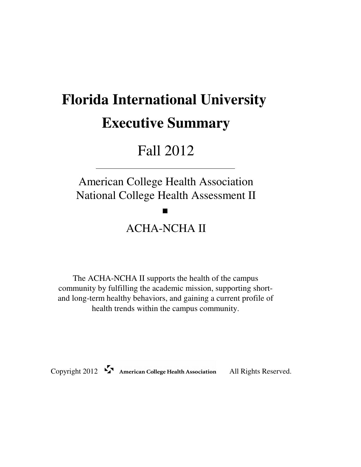# **Florida International University Executive Summary**

# Fall 2012

American College Health Association National College Health Assessment II

m

# ACHA-NCHA II

The ACHA-NCHA II supports the health of the campus community by fulfilling the academic mission, supporting shortand long-term healthy behaviors, and gaining a current profile of health trends within the campus community.

Copyright 2012 American College Health Association All Rights Reserved.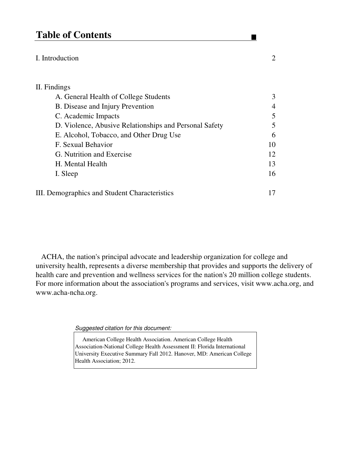# **Table of Contents**

# I. Introduction 2

# II. Findings A. General Health of College Students 3 B. Disease and Injury Prevention 4 C. Academic Impacts 5 D. Violence, Abusive Relationships and Personal Safety 5 E. Alcohol, Tobacco, and Other Drug Use 6 F. Sexual Behavior 10 G. Nutrition and Exercise 12 H. Mental Health 13 I. Sleep 16 III. Demographics and Student Characteristics 17

 ACHA, the nation's principal advocate and leadership organization for college and university health, represents a diverse membership that provides and supports the delivery of health care and prevention and wellness services for the nation's 20 million college students. For more information about the association's programs and services, visit www.acha.org, and www.acha-ncha.org.

Suggested citation for this document:

 American College Health Association. American College Health Association-National College Health Assessment II: Florida International University Executive Summary Fall 2012. Hanover, MD: American College Health Association; 2012.

 $\blacksquare$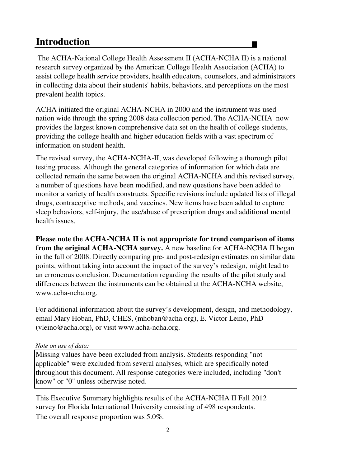# **Introduction**

 The ACHA-National College Health Assessment II (ACHA-NCHA II) is a national research survey organized by the American College Health Association (ACHA) to assist college health service providers, health educators, counselors, and administrators in collecting data about their students' habits, behaviors, and perceptions on the most prevalent health topics.

 $\blacksquare$ 

ACHA initiated the original ACHA-NCHA in 2000 and the instrument was used nation wide through the spring 2008 data collection period. The ACHA-NCHA now provides the largest known comprehensive data set on the health of college students, providing the college health and higher education fields with a vast spectrum of information on student health.

The revised survey, the ACHA-NCHA-II, was developed following a thorough pilot testing process. Although the general categories of information for which data are collected remain the same between the original ACHA-NCHA and this revised survey, a number of questions have been modified, and new questions have been added to monitor a variety of health constructs. Specific revisions include updated lists of illegal drugs, contraceptive methods, and vaccines. New items have been added to capture sleep behaviors, self-injury, the use/abuse of prescription drugs and additional mental health issues.

**Please note the ACHA-NCHA II is not appropriate for trend comparison of items from the original ACHA-NCHA survey.** A new baseline for ACHA-NCHA II began in the fall of 2008. Directly comparing pre- and post-redesign estimates on similar data points, without taking into account the impact of the survey's redesign, might lead to an erroneous conclusion. Documentation regarding the results of the pilot study and differences between the instruments can be obtained at the ACHA-NCHA website, www.acha-ncha.org.

For additional information about the survey's development, design, and methodology, email Mary Hoban, PhD, CHES, (mhoban@acha.org), E. Victor Leino, PhD (vleino@acha.org), or visit www.acha-ncha.org.

# *Note on use of data:*

Missing values have been excluded from analysis. Students responding "not applicable" were excluded from several analyses, which are specifically noted throughout this document. All response categories were included, including "don't know" or "0" unless otherwise noted.

The overall response proportion was 5.0%. This Executive Summary highlights results of the ACHA-NCHA II Fall 2012 survey for Florida International University consisting of 498 respondents.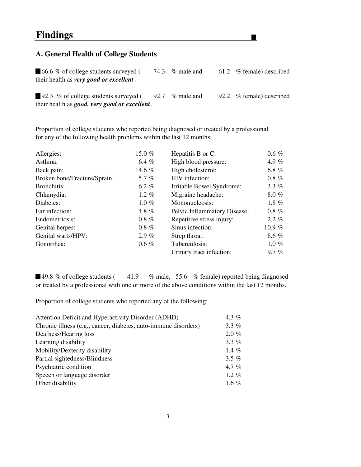# **A. General Health of College Students**

■ 66.6 % of college students surveyed (74.3 % male and 61.2 % female) described their health as *very good or excellent .*

▁

92.3 % of college students surveyed (92.7 % male and 92.2 % female) described their health as *good, very good or excellent .*

Proportion of college students who reported being diagnosed or treated by a professional for any of the following health problems within the last 12 months:

| Allergies:                   | 15.0 $%$ | Hepatitis B or C:            | $0.6 \%$ |
|------------------------------|----------|------------------------------|----------|
| Asthma:                      | 6.4 $%$  | High blood pressure:         | 4.9 $%$  |
| Back pain:                   | 14.6 %   | High cholesterol:            | 6.8 $%$  |
| Broken bone/Fracture/Sprain: | 5.7 $%$  | HIV infection:               | $0.8 \%$ |
| Bronchitis:                  | 6.2 $%$  | Irritable Bowel Syndrome:    | 3.3 $%$  |
| Chlamydia:                   | 1.2 $%$  | Migraine headache:           | 8.0%     |
| Diabetes:                    | $1.0 \%$ | Mononucleosis:               | 1.8 $%$  |
| Ear infection:               | 4.8 $%$  | Pelvic Inflammatory Disease: | $0.8 \%$ |
| Endometriosis:               | $0.8\%$  | Repetitive stress injury:    | $2.2\%$  |
| Genital herpes:              | $0.8\%$  | Sinus infection:             | 10.9 $%$ |
| Genital warts/HPV:           | $2.9\%$  | Strep throat:                | 8.6 %    |
| Gonorrhea:                   | $0.6 \%$ | Tuberculosis:                | 1.0 $%$  |
|                              |          | Urinary tract infection:     | $9.7 \%$ |

■49.8 % of college students (41.9 % male, 55.6 % female) reported being diagnosed or treated by a professional with one or more of the above conditions within the last 12 months.

Proportion of college students who reported any of the following:

| Attention Deficit and Hyperactivity Disorder (ADHD)             | 4.3 $%$  |
|-----------------------------------------------------------------|----------|
| Chronic illness (e.g., cancer, diabetes, auto-immune disorders) | 3.3 $%$  |
| Deafness/Hearing loss                                           | $2.0 \%$ |
| Learning disability                                             | 3.3 $%$  |
| Mobility/Dexterity disability                                   | 1.4 $%$  |
| Partial sightedness/Blindness                                   | 3.5 $%$  |
| Psychiatric condition                                           | 4.7 %    |
| Speech or language disorder                                     | 1.2 $%$  |
| Other disability                                                | 1.6 %    |
|                                                                 |          |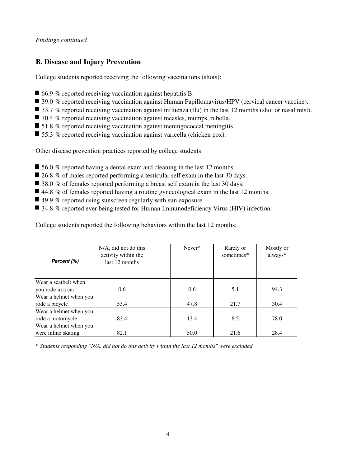# **B. Disease and Injury Prevention**

College students reported receiving the following vaccinations (shots):

- 66.9 % reported receiving vaccination against hepatitis B.
- 39.0 % reported receiving vaccination against Human Papillomavirus/HPV (cervical cancer vaccine).
- 33.7 % reported receiving vaccination against influenza (flu) in the last 12 months (shot or nasal mist).
- 70.4 % reported receiving vaccination against measles, mumps, rubella.
- 51.8 % reported receiving vaccination against meningococcal meningitis.
- 55.3 % reported receiving vaccination against varicella (chicken pox).

Other disease prevention practices reported by college students:

- 56.0 % reported having a dental exam and cleaning in the last 12 months.
- 26.8 % of males reported performing a testicular self exam in the last 30 days.
- 38.0 % of females reported performing a breast self exam in the last 30 days.
- $\blacksquare$  44.8 % of females reported having a routine gynecological exam in the last 12 months.
- $\blacksquare$  49.9 % reported using sunscreen regularly with sun exposure.
- 34.8 % reported ever being tested for Human Immunodeficiency Virus (HIV) infection.

College students reported the following behaviors within the last 12 months:

| Percent (%)            | N/A, did not do this<br>activity within the<br>last 12 months | Never* | Rarely or<br>sometimes* | Mostly or<br>always* |
|------------------------|---------------------------------------------------------------|--------|-------------------------|----------------------|
| Wear a seatbelt when   |                                                               |        |                         |                      |
| you rode in a car      | 0.6                                                           | 0.6    | 5.1                     | 94.3                 |
| Wear a helmet when you |                                                               |        |                         |                      |
| rode a bicycle         | 53.4                                                          | 47.8   | 21.7                    | 30.4                 |
| Wear a helmet when you |                                                               |        |                         |                      |
| rode a motorcycle      | 83.4                                                          | 13.4   | 8.5                     | 78.0                 |
| Wear a helmet when you |                                                               |        |                         |                      |
| were inline skating    | 82.1                                                          | 50.0   | 21.6                    | 28.4                 |

*\* Students responding "N/A, did not do this activity within the last 12 months" were excluded.*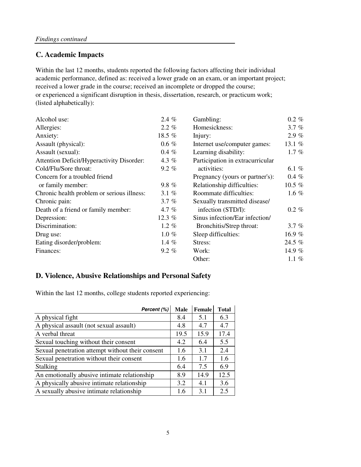# **C. Academic Impacts**

academic performance, defined as: received a lower grade on an exam, or an important project; received a lower grade in the course; received an incomplete or dropped the course; or experienced a significant disruption in thesis, dissertation, research, or practicum work; (listed alphabetically): Within the last 12 months, students reported the following factors affecting their individual

| Alcohol use:                               | 2.4 $%$  | Gambling:                        | $0.2 \%$ |
|--------------------------------------------|----------|----------------------------------|----------|
| Allergies:                                 | $2.2\%$  | Homesickness:                    | 3.7%     |
| Anxiety:                                   | 18.5 %   | Injury:                          | 2.9%     |
| Assault (physical):                        | $0.6 \%$ | Internet use/computer games:     | 13.1 %   |
| Assault (sexual):                          | $0.4 \%$ | Learning disability:             | 1.7 $%$  |
| Attention Deficit/Hyperactivity Disorder:  | 4.3 $%$  | Participation in extracurricular |          |
| Cold/Flu/Sore throat:                      | $9.2 \%$ | activities:                      | 6.1 $%$  |
| Concern for a troubled friend              |          | Pregnancy (yours or partner's):  | $0.4 \%$ |
| or family member:                          | $9.8 \%$ | Relationship difficulties:       | 10.5 $%$ |
| Chronic health problem or serious illness: | 3.1 $%$  | Roommate difficulties:           | 1.6 $%$  |
| Chronic pain:                              | 3.7 $%$  | Sexually transmitted disease/    |          |
| Death of a friend or family member:        | 4.7 $%$  | infection (STD/I):               | $0.2 \%$ |
| Depression:                                | 12.3 $%$ | Sinus infection/Ear infection/   |          |
| Discrimination:                            | 1.2 $%$  | Bronchitis/Strep throat:         | $3.7 \%$ |
| Drug use:                                  | $1.0 \%$ | Sleep difficulties:              | 16.9%    |
| Eating disorder/problem:                   | 1.4 $%$  | Stress:                          | 24.5 %   |
| Finances:                                  | $9.2\%$  | Work:                            | 14.9 $%$ |
|                                            |          | Other:                           | 1.1 $%$  |

# **D. Violence, Abusive Relationships and Personal Safety**

Within the last 12 months, college students reported experiencing:

| Percent (%)                                      | Male | Female | <b>Total</b> |
|--------------------------------------------------|------|--------|--------------|
| A physical fight                                 | 8.4  | 5.1    | 6.3          |
| A physical assault (not sexual assault)          | 4.8  | 4.7    | 4.7          |
| A verbal threat                                  | 19.5 | 15.9   | 17.4         |
| Sexual touching without their consent            | 4.2  | 6.4    | 5.5          |
| Sexual penetration attempt without their consent | 1.6  | 3.1    | 2.4          |
| Sexual penetration without their consent         | 1.6  | 1.7    | 1.6          |
| Stalking                                         | 6.4  | 7.5    | 6.9          |
| An emotionally abusive intimate relationship     | 8.9  | 14.9   | 12.5         |
| A physically abusive intimate relationship       | 3.2  | 4.1    | 3.6          |
| A sexually abusive intimate relationship         | 1.6  | 3.1    | 2.5          |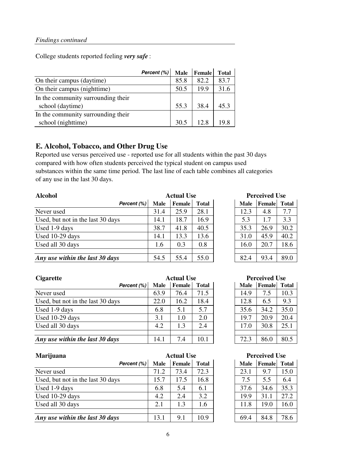College students reported feeling *very safe* :

|                                    | Percent (%) | <b>Male</b> | Female | <b>Total</b> |
|------------------------------------|-------------|-------------|--------|--------------|
| On their campus (daytime)          |             | 85.8        | 82.2   | 83.7         |
| On their campus (nighttime)        |             | 50.5        | 19.9   | 31.6         |
| In the community surrounding their |             |             |        |              |
| school (daytime)                   |             | 55.3        | 38.4   | 45.3         |
| In the community surrounding their |             |             |        |              |
| school (nighttime)                 |             | 30.5        | 12.8   | 19.8         |

# **E. Alcohol, Tobacco, and Other Drug Use**

Reported use versus perceived use - reported use for all students within the past 30 days compared with how often students perceived the typical student on campus used substances within the same time period. The last line of each table combines all categories of any use in the last 30 days.

| <b>Alcohol</b>                    | <b>Actual Use</b> |               |              | <b>Perceived Use</b> |             |        |              |
|-----------------------------------|-------------------|---------------|--------------|----------------------|-------------|--------|--------------|
| Percent (%)                       | Male              | <b>Female</b> | <b>Total</b> |                      | <b>Male</b> | Female | <b>Total</b> |
| Never used                        | 31.4              | 25.9          | 28.1         |                      | 12.3        | 4.8    | 7.7          |
| Used, but not in the last 30 days | 14.1              | 18.7          | 16.9         |                      | 5.3         | 1.7    | 3.3          |
| Used 1-9 days                     | 38.7              | 41.8          | 40.5         |                      | 35.3        | 26.9   | 30.2         |
| Used 10-29 days                   | 14.1              | 13.3          | 13.6         |                      | 31.0        | 45.9   | 40.2         |
| Used all 30 days                  | 1.6               | 0.3           | 0.8          |                      | 16.0        | 20.7   | 18.6         |
| Any use within the last 30 days   | 54.5              | 55.4          | 55.0         |                      | 82.4        | 93.4   | 89.0         |

| <b>Actual Use</b> |              | <b>Perceived Use</b> |             |        |              |
|-------------------|--------------|----------------------|-------------|--------|--------------|
| <b>Female</b>     | <b>Total</b> |                      | <b>Male</b> | Female | <b>Total</b> |
| 25.9              | 28.1         |                      | 12.3        | 4.8    | 7.7          |
| 18.7              | 16.9         |                      | 5.3         | 1.7    | 3.3          |
| 41.8              | 40.5         |                      | 35.3        | 26.9   | 30.2         |
| 13.3              | 13.6         |                      | 31.0        | 45.9   | 40.2         |
| 0.3               | 0.8          |                      | 16.0        | 20.7   | 18.6         |
|                   |              |                      |             |        |              |
| 55.4              | 55.0         |                      | 82.4        | 93.4   | 89.0         |

| <b>Cigarette</b>                  | <b>Actual Use</b> |        |              | <b>Perceived Use</b> |             |        |              |
|-----------------------------------|-------------------|--------|--------------|----------------------|-------------|--------|--------------|
| Percent (%)                       | Male              | Female | <b>Total</b> |                      | <b>Male</b> | Female | <b>Total</b> |
| Never used                        | 63.9              | 76.4   | 71.5         |                      | 14.9        | 7.5    | 10.3         |
| Used, but not in the last 30 days | 22.0              | 16.2   | 18.4         |                      | 12.8        | 6.5    | 9.3          |
| Used 1-9 days                     | 6.8               | 5.1    | 5.7          |                      | 35.6        | 34.2   | 35.0         |
| Used 10-29 days                   | 3.1               | 1.0    | 2.0          |                      | 19.7        | 20.9   | 20.4         |
| Used all 30 days                  | 4.2               | 1.3    | 2.4          |                      | 17.0        | 30.8   | 25.1         |
|                                   |                   |        |              |                      |             |        |              |
| Any use within the last 30 days   | 14.1              | 7.4    | 10.1         |                      | 72.3        | 86.0   | 80.5         |

| Marijuana                         | <b>Actual Use</b> |               |              | <b>Perceived Use</b> |             |        |       |
|-----------------------------------|-------------------|---------------|--------------|----------------------|-------------|--------|-------|
| Percent (%)                       | Male              | <b>Female</b> | <b>Total</b> |                      | <b>Male</b> | Female | Total |
| Never used                        | 71.2              | 73.4          | 72.3         |                      | 23.1        | 9.7    | 15.0  |
| Used, but not in the last 30 days | 15.7              | 17.5          | 16.8         |                      | 7.5         | 5.5    | 6.4   |
| Used 1-9 days                     | 6.8               | 5.4           | 6.1          |                      | 37.6        | 34.6   | 35.3  |
| Used 10-29 days                   | 4.2               | 2.4           | 3.2          |                      | 19.9        | 31.1   | 27.2  |
| Used all 30 days                  | 2.1               | 1.3           | 1.6          |                      | 11.8        | 19.0   | 16.0  |
|                                   |                   |               |              |                      |             |        |       |
| Any use within the last 30 days   | 13.1              | 9.1           | 10.9         |                      | 69.4        | 84.8   | 78.6  |

| Perceived Use |              |      |  |  |  |  |  |
|---------------|--------------|------|--|--|--|--|--|
| <b>Male</b>   | Female Total |      |  |  |  |  |  |
| 14.9          | 7.5          | 10.3 |  |  |  |  |  |
| 12.8          | 6.5          | 9.3  |  |  |  |  |  |
| 35.6          | 34.2         | 35.0 |  |  |  |  |  |
| 19.7          | 20.9         | 20.4 |  |  |  |  |  |
| 17.0          | 30.8         | 25.1 |  |  |  |  |  |

# **Perceived Use**

| <b>Male</b> | Female | <b>Total</b> |
|-------------|--------|--------------|
| 23.1        | 9.7    | 15.0         |
| 7.5         | 5.5    | 6.4          |
| 37.6        | 34.6   | 35.3         |
| 19.9        | 31.1   | 27.2         |
| 11.8        | 19.0   | 16.0         |
|             |        |              |
| 69.4        | 84.8   | 78.6         |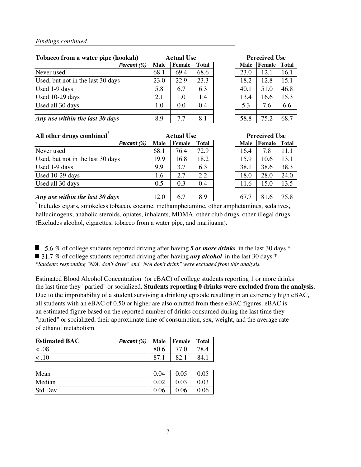| Tobacco from a water pipe (hookah) |             | <b>Actual Use</b> |              |  | <b>Perceived Use</b> |        |              |  |
|------------------------------------|-------------|-------------------|--------------|--|----------------------|--------|--------------|--|
| Percent (%)                        | <b>Male</b> | <b>Female</b>     | <b>Total</b> |  | <b>Male</b>          | Female | <b>Total</b> |  |
| Never used                         | 68.1        | 69.4              | 68.6         |  | 23.0                 | 12.1   | 16.1         |  |
| Used, but not in the last 30 days  | 23.0        | 22.9              | 23.3         |  | 18.2                 | 12.8   | 15.1         |  |
| Used 1-9 days                      | 5.8         | 6.7               | 6.3          |  | 40.1                 | 51.0   | 46.8         |  |
| Used 10-29 days                    | 2.1         | 1.0               | 1.4          |  | 13.4                 | 16.6   | 15.3         |  |
| Used all 30 days                   | $1.0\,$     | 0.0               | 0.4          |  | 5.3                  | 7.6    | 6.6          |  |
|                                    |             |                   |              |  |                      |        |              |  |
| Any use within the last 30 days    | 8.9         | 7.7               | 8.1          |  | 58.8                 | 75.2   | 68.7         |  |

| - Perceived Use |        |              |  |  |  |  |
|-----------------|--------|--------------|--|--|--|--|
| <b>Male</b>     | Female | <b>Total</b> |  |  |  |  |
| 23.0            | 12.1   | 16.1         |  |  |  |  |
| 18.2            | 12.8   | 15.1         |  |  |  |  |
| 40.1            | 51.0   | 46.8         |  |  |  |  |
| 13.4            | 16.6   | 15.3         |  |  |  |  |
| 5.3             | 7.6    | 6.6          |  |  |  |  |
|                 |        |              |  |  |  |  |
| 58.8            | 75.2   | 68.7         |  |  |  |  |

| All other drugs combined <sup>*</sup> |      | <b>Actual Use</b> |              |  | <b>Perceived Use</b> |        |              |
|---------------------------------------|------|-------------------|--------------|--|----------------------|--------|--------------|
| Percent (%)                           | Male | <b>Female</b>     | <b>Total</b> |  | <b>Male</b>          | Female | <b>Total</b> |
| Never used                            | 68.1 | 76.4              | 72.9         |  | 16.4                 | 7.8    | 11.1         |
| Used, but not in the last 30 days     | 19.9 | 16.8              | 18.2         |  | 15.9                 | 10.6   | 13.1         |
| Used 1-9 days                         | 9.9  | 3.7               | 6.3          |  | 38.1                 | 38.6   | 38.3         |
| Used 10-29 days                       | 1.6  | 2.7               | 2.2          |  | 18.0                 | 28.0   | 24.0         |
| Used all 30 days                      | 0.5  | 0.3               | 0.4          |  | 11.6                 | 15.0   | 13.5         |
|                                       |      |                   |              |  |                      |        |              |
| Any use within the last 30 days       | 12.0 | 6.7               | 8.9          |  | 67.7                 | 81.6   | 75.8         |

| <b>Actual Use</b> |        |              | <b>Perceived Use</b> |        |              |  |  |
|-------------------|--------|--------------|----------------------|--------|--------------|--|--|
|                   | Female | <b>Total</b> | <b>Male</b>          | Female | <b>Total</b> |  |  |
|                   | 76.4   | 72.9         | 16.4                 | 7.8    | 11.1         |  |  |
|                   | 16.8   | 18.2         | 15.9                 | 10.6   | 13.1         |  |  |
|                   | 3.7    | 6.3          | 38.1                 | 38.6   | 38.3         |  |  |
|                   | 2.7    | 2.2          | 18.0                 | 28.0   | 24.0         |  |  |
|                   | 0.3    | 0.4          | 11.6                 | 15.0   | 13.5         |  |  |
|                   |        |              |                      |        |              |  |  |
|                   | 6.7    | 8.9          | 67.7                 | 81.6   | 75.8         |  |  |

\* Includes cigars, smokeless tobacco, cocaine, methamphetamine, other amphetamines, sedatives, hallucinogens, anabolic steroids, opiates, inhalants, MDMA, other club drugs, other illegal drugs. (Excludes alcohol, cigarettes, tobacco from a water pipe, and marijuana).

■ 5.6 % of college students reported driving after having 5 or more drinks in the last 30 days.<sup>\*</sup> 31.7 % of college students reported driving after having *any alcohol* in the last 30 days.<sup>\*</sup> *\*Students responding "N/A, don't drive" and "N/A don't drink" were excluded from this analysis.*

Estimated Blood Alcohol Concentration (or eBAC) of college students reporting 1 or more drinks the last time they "partied" or socialized. **Students reporting 0 drinks were excluded from the analysis**. Due to the improbability of a student surviving a drinking episode resulting in an extremely high eBAC, all students with an eBAC of 0.50 or higher are also omitted from these eBAC figures. eBAC is an estimated figure based on the reported number of drinks consumed during the last time they "partied" or socialized, their approximate time of consumption, sex, weight, and the average rate of ethanol metabolism.

| <b>Estimated BAC</b> | Percent (%) | <b>Male</b> | <b>Female</b> | <b>Total</b> |
|----------------------|-------------|-------------|---------------|--------------|
| < .08                |             | 80.6        | 77.0          | 78.4         |
| $\lt$ .10            |             | 87.1        | 82.1          | 84.1         |
|                      |             |             |               |              |
| Mean                 |             | 0.04        | 0.05          | 0.05         |
| Median               |             | 0.02        | 0.03          | 0.03         |
| <b>Std Dev</b>       |             | 0.06        | 0.06          | 0.06         |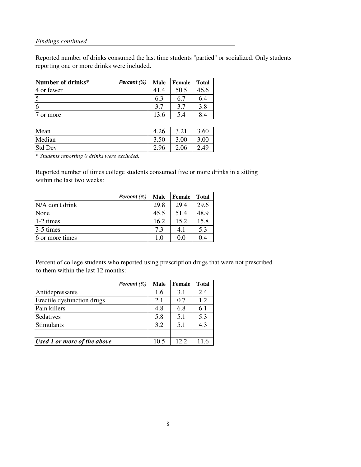Reported number of drinks consumed the last time students "partied" or socialized. Only students reporting one or more drinks were included.

| Number of drinks* | Percent (%) | Male | Female | <b>Total</b> |
|-------------------|-------------|------|--------|--------------|
| 4 or fewer        |             | 41.4 | 50.5   | 46.6         |
| $\overline{5}$    |             | 6.3  | 6.7    | 6.4          |
| 6                 |             | 3.7  | 3.7    | 3.8          |
| or more           |             | 13.6 | 5.4    | 8.4          |
|                   |             |      |        |              |
| Mean              |             | 4.26 | 3.21   | 3.60         |
| Median            |             | 3.50 | 3.00   | 3.00         |
| <b>Std Dev</b>    |             | 2.96 | 2.06   | 2.49         |

*\* Students reporting 0 drinks were excluded.*

Reported number of times college students consumed five or more drinks in a sitting within the last two weeks:

|                     | Percent (%) | <b>Male</b> | <b>Female</b> | <b>Total</b> |
|---------------------|-------------|-------------|---------------|--------------|
| N/A don't drink     |             | 29.8        | 29.4          | 29.6         |
| None                |             | 45.5        | 51.4          | 48.9         |
| $1-2 \text{ times}$ |             | 16.2        | 15.2          | 15.8         |
| 3-5 times           |             | 7.3         | 4.1           | 5.3          |
| 6 or more times     |             | $1.0\,$     | 0.0           | 0.4          |

Percent of college students who reported using prescription drugs that were not prescribed to them within the last 12 months:

|                             | Percent (%) | <b>Male</b> | <b>Female</b> | Total |
|-----------------------------|-------------|-------------|---------------|-------|
| Antidepressants             |             | 1.6         | 3.1           | 2.4   |
| Erectile dysfunction drugs  |             | 2.1         | 0.7           | 1.2   |
| Pain killers                |             | 4.8         | 6.8           | 6.1   |
| Sedatives                   |             | 5.8         | 5.1           | 5.3   |
| Stimulants                  |             | 3.2         | 5.1           | 4.3   |
|                             |             |             |               |       |
| Used 1 or more of the above |             | 10.5        | 12.2          |       |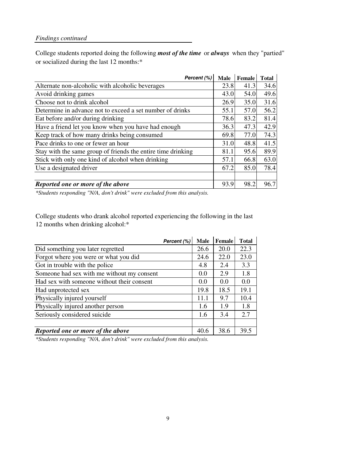College students reported doing the following *most of the time* or *always* when they "partied" or socialized during the last 12 months:\*

| Percent (%)                                                  | <b>Male</b> | Female | <b>Total</b> |
|--------------------------------------------------------------|-------------|--------|--------------|
| Alternate non-alcoholic with alcoholic beverages             | 23.8        | 41.3   | 34.6         |
| Avoid drinking games                                         | 43.0        | 54.0   | 49.6         |
| Choose not to drink alcohol                                  | 26.9        | 35.0   | 31.6         |
| Determine in advance not to exceed a set number of drinks    | 55.1        | 57.0   | 56.2         |
| Eat before and/or during drinking                            | 78.6        | 83.2   | 81.4         |
| Have a friend let you know when you have had enough          | 36.3        | 47.3   | 42.9         |
| Keep track of how many drinks being consumed                 | 69.8        | 77.0   | 74.3         |
| Pace drinks to one or fewer an hour                          | 31.0        | 48.8   | 41.5         |
| Stay with the same group of friends the entire time drinking | 81.1        | 95.6   | 89.9         |
| Stick with only one kind of alcohol when drinking            | 57.1        | 66.8   | 63.0         |
| Use a designated driver                                      | 67.2        | 85.0   | 78.4         |
|                                                              |             |        |              |
| Reported one or more of the above                            | 93.9        | 98.2   | 96.7         |

*\*Students responding "N/A, don't drink" were excluded from this analysis.*

College students who drank alcohol reported experiencing the following in the last 12 months when drinking alcohol:\*

| Percent (%)                                | <b>Male</b> | Female | <b>Total</b> |
|--------------------------------------------|-------------|--------|--------------|
| Did something you later regretted          | 26.6        | 20.0   | 22.3         |
| Forgot where you were or what you did      | 24.6        | 22.0   | 23.0         |
| Got in trouble with the police             | 4.8         | 2.4    | 3.3          |
| Someone had sex with me without my consent | 0.0         | 2.9    | 1.8          |
| Had sex with someone without their consent | 0.0         | 0.0    | 0.0          |
| Had unprotected sex                        | 19.8        | 18.5   | 19.1         |
| Physically injured yourself                | 11.1        | 9.7    | 10.4         |
| Physically injured another person          | 1.6         | 1.9    | 1.8          |
| Seriously considered suicide               | 1.6         | 3.4    | 2.7          |
|                                            |             |        |              |
| Reported one or more of the above          | 40.6        | 38.6   | 39.5         |

*\*Students responding "N/A, don't drink" were excluded from this analysis.*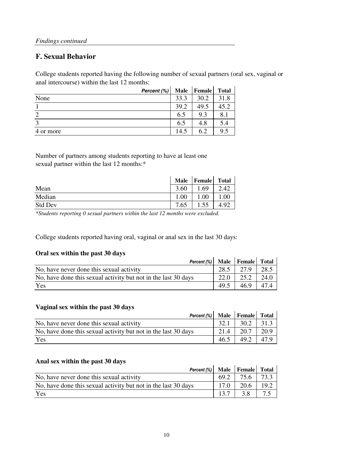# **F. Sexual Behavior**

College students reported having the following number of sexual partners (oral sex, vaginal or anal intercourse) within the last 12 months:

|           | Percent (%) | <b>Male</b> | <b>Female</b> | <b>Total</b> |
|-----------|-------------|-------------|---------------|--------------|
| None      |             | 33.3        | 30.2          | 31.8         |
|           |             | 39.2        | 49.5          | 45.2         |
|           |             | 6.5         | 9.3           | 8.1          |
| 3         |             | 6.5         | 4.8           | 5.4          |
| 4 or more |             | 14.5        | 6.2           | 9.5          |

Number of partners among students reporting to have at least one sexual partner within the last 12 months:\*

|                | <b>Male</b> | Female | Total |
|----------------|-------------|--------|-------|
| Mean           | 3.60        | .69    | 2.42  |
| Median         | 1.00        | .00    | .00   |
| <b>Std Dev</b> | 7.65        | 1.55   | 4.92  |

*\*Students reporting 0 sexual partners within the last 12 months were excluded.*

College students reported having oral, vaginal or anal sex in the last 30 days:

# **Oral sex within the past 30 days**

| Percent (%) Male Female Total                                  |                   |      |      |
|----------------------------------------------------------------|-------------------|------|------|
| No, have never done this sexual activity                       | 28.5 L            | 27.9 | 28.5 |
| No, have done this sexual activity but not in the last 30 days | $22.0 \text{ } 1$ | 25.2 | 24.0 |
| Yes                                                            | 49.5              | 46.9 | 47.4 |

# **Vaginal sex within the past 30 days**

| Vaginal sex within the past 50 days                            |      |      |      |
|----------------------------------------------------------------|------|------|------|
| Percent $(\%)$ Male Female Total                               |      |      |      |
| No, have never done this sexual activity                       | 32.1 | 30.2 | 31.3 |
| No, have done this sexual activity but not in the last 30 days | 21.4 | 20.7 | 20.9 |
| Yes                                                            | 46.5 | 49.2 | 47.9 |

# **Anal sex within the past 30 days**

| Allal sex within the past 50 days                              |        |             |      |
|----------------------------------------------------------------|--------|-------------|------|
| Percent $(\%)$ Male Female Total                               |        |             |      |
| No, have never done this sexual activity                       | $69.2$ | 75.6   73.3 |      |
| No, have done this sexual activity but not in the last 30 days | 17.0   | 20.6        | 19.2 |
| Yes                                                            | 13.7   | 3.8         | 7.5  |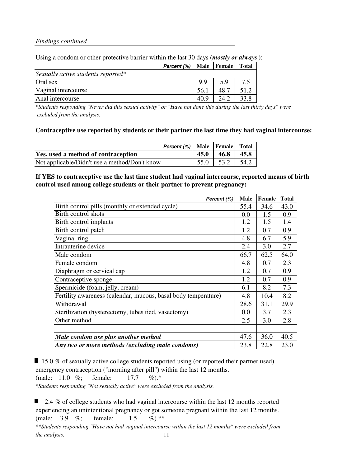|                                    | Percent (%) Male Female Total |      |      |      |
|------------------------------------|-------------------------------|------|------|------|
| Sexually active students reported* |                               |      |      |      |
| Oral sex                           |                               | 99   | 59   | 75   |
| Vaginal intercourse                |                               | 56.1 | 48.7 | 51.2 |
| Anal intercourse                   |                               | 40.9 | 242  | 33.8 |
|                                    |                               |      |      |      |

# Using a condom or other protective barrier within the last 30 days (*mostly or always*):

*\*Students responding "Never did this sexual activity" or "Have not done this during the last thirty days" were excluded from the analysis.*

# **Contraceptive use reported by students or their partner the last time they had vaginal intercourse:**

|                                               |      | <b>Percent</b> $(\%)$ Male Female Total |      |
|-----------------------------------------------|------|-----------------------------------------|------|
| Yes, used a method of contraception           | 45.0 | 46.8                                    | 45.8 |
| Not applicable/Didn't use a method/Don't know |      | $55.0$   $53.2$   $54.2$                |      |

# **If YES to contraceptive use the last time student had vaginal intercourse, reported means of birth control used among college students or their partner to prevent pregnancy:**

| Percent (%)                                                    | <b>Male</b> | Female | <b>Total</b> |
|----------------------------------------------------------------|-------------|--------|--------------|
| Birth control pills (monthly or extended cycle)                | 55.4        | 34.6   | 43.0         |
| Birth control shots                                            | 0.0         | 1.5    | 0.9          |
| Birth control implants                                         | 1.2         | 1.5    | 1.4          |
| Birth control patch                                            | 1.2         | 0.7    | 0.9          |
| Vaginal ring                                                   | 4.8         | 6.7    | 5.9          |
| Intrauterine device                                            | 2.4         | 3.0    | 2.7          |
| Male condom                                                    | 66.7        | 62.5   | 64.0         |
| Female condom                                                  | 4.8         | 0.7    | 2.3          |
| Diaphragm or cervical cap                                      | 1.2         | 0.7    | 0.9          |
| Contraceptive sponge                                           | 1.2         | 0.7    | 0.9          |
| Spermicide (foam, jelly, cream)                                | 6.1         | 8.2    | 7.3          |
| Fertility awareness (calendar, mucous, basal body temperature) | 4.8         | 10.4   | 8.2          |
| Withdrawal                                                     | 28.6        | 31.1   | 29.9         |
| Sterilization (hysterectomy, tubes tied, vasectomy)            | 0.0         | 3.7    | 2.3          |
| Other method                                                   | 2.5         | 3.0    | 2.8          |
|                                                                |             |        |              |
| Male condom use plus another method                            | 47.6        | 36.0   | 40.5         |
| Any two or more methods (excluding male condoms)               | 23.8        | 22.8   | 23.0         |

 $\blacksquare$  15.0 % of sexually active college students reported using (or reported their partner used) emergency contraception ("morning after pill") within the last 12 months. (male: 11.0 %; female: 17.7 %).\*

*\*Students responding "Not sexually active" were excluded from the analysis.*

■ 2.4 % of college students who had vaginal intercourse within the last 12 months reported experiencing an unintentional pregnancy or got someone pregnant within the last 12 months. (male: 3.9 %; female: 1.5 %).\*\* *\*\*Students responding "Have not had vaginal intercourse within the last 12 months" were excluded from the analysis.* 11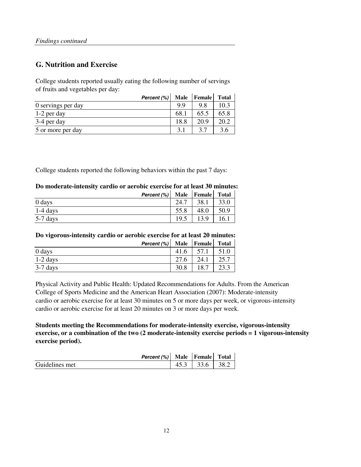# **G. Nutrition and Exercise**

College students reported usually eating the following number of servings of fruits and vegetables per day:

| Percent (%)        |      | Male Female | <b>Total</b> |
|--------------------|------|-------------|--------------|
| 0 servings per day | 99   | 9.8         | 10.3         |
| 1-2 per day        | 68.  | 65.5        | 65.8         |
| 3-4 per day        | 18.8 | 20.9        | 20.2         |
| 5 or more per day  | 3.1  | 37          |              |

College students reported the following behaviors within the past 7 days:

# **Do moderate-intensity cardio or aerobic exercise for at least 30 minutes:**

|            | Percent (%) |      | Male Female | <b>Total</b> |
|------------|-------------|------|-------------|--------------|
| 0 days     |             | 24.7 | 38.1        | 33.0         |
| $1-4$ days |             | 55.8 | 48.0        | 50.9         |
| $5-7$ days |             | 19.5 | 13.9        | 16.1         |

# **Do vigorous-intensity cardio or aerobic exercise for at least 20 minutes:**

|            | Percent (%) |      | Male Female Total |      |
|------------|-------------|------|-------------------|------|
| 0 days     |             | 41.6 | 57.1              | 51.0 |
| $1-2$ days |             | 27.6 | 24.1              | 25.7 |
| $3-7$ days |             | 30.8 | 18.7              |      |

Physical Activity and Public Health: Updated Recommendations for Adults. From the American College of Sports Medicine and the American Heart Association (2007): Moderate-intensity cardio or aerobic exercise for at least 30 minutes on 5 or more days per week, or vigorous-intensity cardio or aerobic exercise for at least 20 minutes on 3 or more days per week.

**Students meeting the Recommendations for moderate-intensity exercise, vigorous-intensity exercise, or a combination of the two (2 moderate-intensity exercise periods = 1 vigorous-intensity exercise period).**

|                | Percent (%) Male Female |                      | <b>Total</b> |
|----------------|-------------------------|----------------------|--------------|
| Guidelines met |                         | $45.3$   33.6   38.2 |              |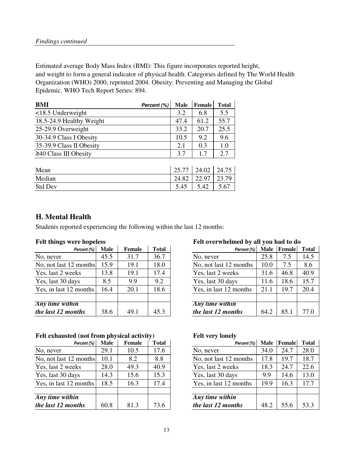Estimated average Body Mass Index (BMI): This figure incorporates reported height, and weight to form a general indicator of physical health. Categories defined by The World Health Organization (WHO) 2000, reprinted 2004. Obesity: Preventing and Managing the Global Epidemic. WHO Tech Report Series: 894.

| <b>BMI</b>                  | Percent (%) | Male  | <b>Female</b> | <b>Total</b> |
|-----------------------------|-------------|-------|---------------|--------------|
| $<$ 18.5 Underweight        |             | 3.2   | 6.8           | 5.5          |
| 18.5-24.9 Healthy Weight    |             | 47.4  | 61.2          | 55.7         |
| 25-29.9 Overweight          |             | 33.2  | 20.7          | 25.5         |
| 30-34.9 Class I Obesity     |             | 10.5  | 9.2           | 9.6          |
| 35-39.9 Class II Obesity    |             | 2.1   | 0.3           | 1.0          |
| $\geq$ 40 Class III Obesity |             | 3.7   | 1.7           | 2.7          |
|                             |             |       |               |              |
| Mean                        |             | 25.77 | 24.02         | 24.75        |
| Median                      |             | 24.82 | 22.97         | 23.79        |
| <b>Std Dev</b>              |             | 5.45  | 5.42          | 5.67         |

# **H. Mental Health**

Students reported experiencing the following within the last 12 months:

| Percent (%)            | <b>Male</b> | Female | <b>Total</b> | Percent (%)            | <b>Male</b> | Female | Total |
|------------------------|-------------|--------|--------------|------------------------|-------------|--------|-------|
| No, never              | 45.5        | 31.7   | 36.7         | No, never              | 25.8        | 7.5    | 14.5  |
| No, not last 12 months | 15.9        | 19.1   | 18.0         | No, not last 12 months | 10.0        | 7.5    | 8.6   |
| Yes, last 2 weeks      | 13.8        | 19.1   | 17.4         | Yes, last 2 weeks      | 31.6        | 46.8   | 40.9  |
| Yes, last 30 days      | 8.5         | 9.9    | 9.2          | Yes, last 30 days      | 11.6        | 18.6   | 15.7  |
| Yes, in last 12 months | 16.4        | 20.1   | 18.6         | Yes, in last 12 months | 21.1        | 19.7   | 20.4  |
|                        |             |        |              |                        |             |        |       |
| <b>Any</b> time within |             |        |              | Any time within        |             |        |       |
| the last 12 months     | 38.6        | 49.1   | 45.3         | the last 12 months     | 64.2        | 85.1   | 77.0  |

# Felt exhausted (not from physical activity) Felt very lonely

| Percent (%)            | <b>Male</b> | Female | <b>Total</b> | Percent (%)            | Male | Female | Total |
|------------------------|-------------|--------|--------------|------------------------|------|--------|-------|
| No, never              | 29.1        | 10.5   | 17.6         | No, never              | 34.0 | 24.7   | 28.0  |
| No, not last 12 months | 10.1        | 8.2    | 8.8          | No, not last 12 months | 17.8 | 19.7   | 18.7  |
| Yes, last 2 weeks      | 28.0        | 49.3   | 40.9         | Yes, last 2 weeks      | 18.3 | 24.7   | 22.6  |
| Yes, last 30 days      | 14.3        | 15.6   | 15.3         | Yes, last 30 days      | 9.9  | 14.6   | 13.0  |
| Yes, in last 12 months | 18.5        | 16.3   | 17.4         | Yes, in last 12 months | 19.9 | 16.3   | 17.7  |
|                        |             |        |              |                        |      |        |       |
| Any time within        |             |        |              | Any time within        |      |        |       |
| the last 12 months     | 60.8        | 81.3   | 73.6         | the last 12 months     | 48.2 | 55.6   | 53.3  |

# **Felt things were hopeless Felt overwhelmed by all you had to do**

| <b>Male</b> | <b>Female</b> | <b>Total</b> | Percent (%)            | Male            |      | <b>Total</b> |  |
|-------------|---------------|--------------|------------------------|-----------------|------|--------------|--|
| 45.5        | 31.7          | 36.7         | No, never              | 25.8            | 7.5  | 14.5         |  |
| 15.9        | 19.1          | 18.0         | No, not last 12 months | 10.0            | 7.5  | 8.6          |  |
| 13.8        | 19.1          | 17.4         | Yes, last 2 weeks      | 31.6            | 46.8 | 40.9         |  |
| 8.5         | 9.9           | 9.2          | Yes, last 30 days      | 11.6            | 18.6 | 15.7         |  |
| 16.4        | 20.1          | 18.6         | Yes, in last 12 months | 21.1            | 19.7 | 20.4         |  |
|             |               |              |                        |                 |      |              |  |
|             |               |              |                        |                 |      |              |  |
| 38.6        | 49.1          | 45.3         | the last 12 months     | 64.2            | 85.1 | 77.0         |  |
| months      |               |              |                        | Any time within |      | Female       |  |

| Percent (%)             | <b>Male</b> | <b>Female</b> | <b>Total</b> | Percent (%)            | <b>Male</b> | Female | <b>Total</b> |
|-------------------------|-------------|---------------|--------------|------------------------|-------------|--------|--------------|
|                         | 29.1        | 10.5          | 17.6         | No, never              | 34.0        | 24.7   | 28.0         |
| months                  | 10.1        | 8.2           | 8.8          | No, not last 12 months | 17.8        | 19.7   | 18.7         |
| eks                     | 28.0        | 49.3          | 40.9         | Yes, last 2 weeks      | 18.3        | 24.7   | 22.6         |
| ys                      | 14.3        | 15.6          | 15.3         | Yes, last 30 days      | 9.9         | 14.6   | 13.0         |
| months                  | 18.5        | 16.3          | 17.4         | Yes, in last 12 months | 19.9        | 16.3   | 17.7         |
|                         |             |               |              |                        |             |        |              |
| $\overline{\mathbf{h}}$ |             |               |              | Any time within        |             |        |              |
| nths                    | 60.8        | 81.3          | 73.6         | the last 12 months     | 48.2        | 55.6   | 53.3         |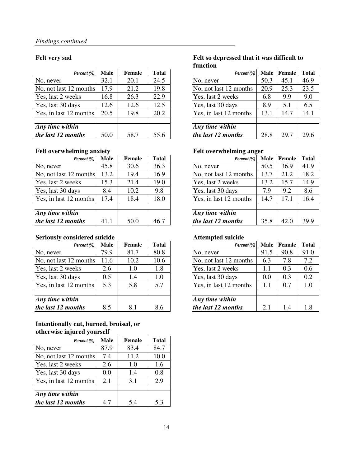| Percent (%)                        | <b>Male</b> | <b>Female</b> | <b>Total</b> | Percent (%)            | <b>Male</b> | Female | Total |
|------------------------------------|-------------|---------------|--------------|------------------------|-------------|--------|-------|
| No, never                          | 32.1        | 20.1          | 24.5         | No, never              | 50.3        | 45.1   | 46.9  |
| No, not last 12 months             | 17.9        | 21.2          | 19.8         | No, not last 12 months | 20.9        | 25.3   | 23.5  |
| Yes, last 2 weeks                  | 16.8        | 26.3          | 22.9         | Yes, last 2 weeks      | 6.8         | 9.9    | 9.0   |
| Yes, last 30 days                  | 12.6        | 12.6          | 12.5         | Yes, last 30 days      | 8.9         | 5.1    | 6.5   |
| Yes, in last 12 months             | 20.5        | 19.8          | 20.2         | Yes, in last 12 months | 13.1        | 14.7   | 14.1  |
|                                    |             |               |              |                        |             |        |       |
| $\overline{Any \, time \, within}$ |             |               |              | Any time within        |             |        |       |
| the last 12 months                 | 50.0        | 58.7          | 55.6         | the last 12 months     | 28.8        | 29.7   | 29.6  |

## Felt overwhelming anxiety **Felt overwhelming anger**

| Percent (%)            | <b>Male</b> | Female | <b>Total</b> | Percent (%)            | <b>Male</b> | Female | Total |
|------------------------|-------------|--------|--------------|------------------------|-------------|--------|-------|
| No, never              | 45.8        | 30.6   | 36.3         | No, never              | 50.5        | 36.9   | 41.9  |
| No, not last 12 months | 13.2        | 19.4   | 16.9         | No, not last 12 months | 13.7        | 21.2   | 18.2  |
| Yes, last 2 weeks      | 15.3        | 21.4   | 19.0         | Yes, last 2 weeks      | 13.2        | 15.7   | 14.9  |
| Yes, last 30 days      | 8.4         | 10.2   | 9.8          | Yes, last 30 days      | 7.9         | 9.2    | 8.6   |
| Yes, in last 12 months | 17.4        | 18.4   | 18.0         | Yes, in last 12 months | 14.7        | 17.1   | 16.4  |
| Any time within        |             |        |              | Any time within        |             |        |       |
| the last 12 months     | 41.1        | 50.0   | 46.7         | the last 12 months     | 35.8        | 42.0   | 39.9  |

# **Seriously considered suicide Attempted suicide**

| Percent (%)            | <b>Male</b> | Female | <b>Total</b> | Percent (%)            | <b>Male</b> | Female | Total |
|------------------------|-------------|--------|--------------|------------------------|-------------|--------|-------|
| No, never              | 79.9        | 81.7   | 80.8         | No, never              | 91.5        | 90.8   | 91.0  |
| No, not last 12 months | 11.6        | 10.2   | 10.6         | No, not last 12 months | 6.3         | 7.8    | 7.2   |
| Yes, last 2 weeks      | 2.6         | 1.0    | 1.8          | Yes, last 2 weeks      | 1.1         | 0.3    | 0.6   |
| Yes, last 30 days      | 0.5         | 1.4    | 1.0          | Yes, last 30 days      | 0.0         | 0.3    | 0.2   |
| Yes, in last 12 months | 5.3         | 5.8    | 5.7          | Yes, in last 12 months | 1.1         | 0.7    | 1.0   |
| Any time within        |             |        |              | Any time within        |             |        |       |
| the last 12 months     | 8.5         | 8.1    | 8.6          | the last 12 months     | 2.1         | 1.4    | 1.8   |

### **Intentionally cut, burned, bruised, or otherwise injured yourself**  $\frac{1}{2}$ **Contractor**

| <b>ULLET WISE HIJULEU YUUL SEIL</b> |      |        |              |  |  |  |  |  |  |
|-------------------------------------|------|--------|--------------|--|--|--|--|--|--|
| Percent (%)                         | Male | Female | <b>Total</b> |  |  |  |  |  |  |
| No, never                           | 87.9 | 83.4   | 84.7         |  |  |  |  |  |  |
| No, not last 12 months              | 7.4  | 11.2   | 10.0         |  |  |  |  |  |  |
| Yes, last 2 weeks                   | 2.6  | 1.0    | 1.6          |  |  |  |  |  |  |
| Yes, last 30 days                   | 0.0  | 1.4    | 0.8          |  |  |  |  |  |  |
| Yes, in last 12 months              | 2.1  | 3.1    | 2.9          |  |  |  |  |  |  |
|                                     |      |        |              |  |  |  |  |  |  |
| Any time within                     |      |        |              |  |  |  |  |  |  |
| the last 12 months                  | 4.7  | 5.4    | 5.3          |  |  |  |  |  |  |

# **Felt very sad Felt so depressed that it was difficult to function**

| Percent (%)             | <b>Male</b> | <b>Female</b> | <b>Total</b> | Percent (%)            | <b>Male</b> | Female | <b>Total</b> |
|-------------------------|-------------|---------------|--------------|------------------------|-------------|--------|--------------|
|                         | 32.1        | 20.1          | 24.5         | No, never              | 50.3        | 45.1   | 46.9         |
| months                  | 17.9        | 21.2          | 19.8         | No, not last 12 months | 20.9        | 25.3   | 23.5         |
| eks                     | 16.8        | 26.3          | 22.9         | Yes, last 2 weeks      | 6.8         | 9.9    | 9.0          |
| ys                      | 12.6        | 12.6          | 12.5         | Yes, last 30 days      | 8.9         | 5.1    | 6.5          |
| months                  | 20.5        | 19.8          | 20.2         | Yes, in last 12 months | 13.1        | 14.7   | 14.1         |
|                         |             |               |              |                        |             |        |              |
| $\overline{\mathbf{m}}$ |             |               |              | Any time within        |             |        |              |
| nths                    | 50.0        | 58.7          | 55.6         | the last 12 months     | 28.8        | 29.7   | 29.6         |

| Percent (%)             | <b>Male</b> | <b>Female</b> | <b>Total</b> | Percent (%)            | <b>Male</b> | Female | <b>Total</b> |
|-------------------------|-------------|---------------|--------------|------------------------|-------------|--------|--------------|
|                         | 45.8        | 30.6          | 36.3         | No, never              | 50.5        | 36.9   | 41.9         |
| months                  | 13.2        | 19.4          | 16.9         | No, not last 12 months | 13.7        | 21.2   | 18.2         |
| eks                     | 15.3        | 21.4          | 19.0         | Yes, last 2 weeks      | 13.2        | 15.7   | 14.9         |
| ys                      | 8.4         | 10.2          | 9.8          | Yes, last 30 days      | 7.9         | 9.2    | 8.6          |
| months                  | 17.4        | 18.4          | 18.0         | Yes, in last 12 months | 14.7        | 17.1   | 16.4         |
|                         |             |               |              |                        |             |        |              |
| $\overline{\mathbf{m}}$ |             |               |              | Any time within        |             |        |              |
| nths                    | 41.1        | 50.0          | 46.7         | the last 12 months     | 35.8        | 42.0   | 39.9         |

| Percent (%) | <b>Male</b> | <b>Female</b> | <b>Total</b> | Percent (%)            | <b>Male</b> | Female | <b>Total</b> |
|-------------|-------------|---------------|--------------|------------------------|-------------|--------|--------------|
|             | 79.9        | 81.7          | 80.8         | No, never              | 91.5        | 90.8   | 91.0         |
| months      | 11.6        | 10.2          | 10.6         | No, not last 12 months | 6.3         | 7.8    | 7.2          |
| eks         | 2.6         | 1.0           | 1.8          | Yes, last 2 weeks      | 1.1         | 0.3    | 0.6          |
| ys          | 0.5         | 1.4           | 1.0          | Yes, last 30 days      | 0.0         | 0.3    | 0.2          |
| months      | 5.3         | 5.8           | 5.7          | Yes, in last 12 months | 1.1         | 0.7    | 1.0          |
|             |             |               |              |                        |             |        |              |
| in          |             |               |              | Any time within        |             |        |              |
| nths        | 8.5         | 8.1           | 8.6          | the last 12 months     | 2.1         | 1.4    | 1.8          |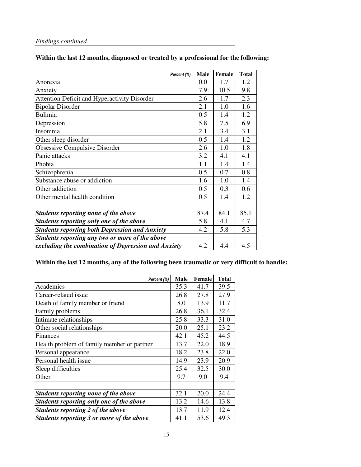# **Within the last 12 months, diagnosed or treated by a professional for the following:**

| Percent (%)                                           | <b>Male</b> | <b>Female</b> | <b>Total</b> |
|-------------------------------------------------------|-------------|---------------|--------------|
| Anorexia                                              | 0.0         | 1.7           | 1.2          |
| Anxiety                                               | 7.9         | 10.5          | 9.8          |
| Attention Deficit and Hyperactivity Disorder          | 2.6         | 1.7           | 2.3          |
| <b>Bipolar Disorder</b>                               | 2.1         | 1.0           | 1.6          |
| <b>Bulimia</b>                                        | 0.5         | 1.4           | 1.2          |
| Depression                                            | 5.8         | 7.5           | 6.9          |
| Insomnia                                              | 2.1         | 3.4           | 3.1          |
| Other sleep disorder                                  | 0.5         | 1.4           | 1.2          |
| Obsessive Compulsive Disorder                         | 2.6         | 1.0           | 1.8          |
| Panic attacks                                         | 3.2         | 4.1           | 4.1          |
| Phobia                                                | 1.1         | 1.4           | 1.4          |
| Schizophrenia                                         | 0.5         | 0.7           | 0.8          |
| Substance abuse or addiction                          | 1.6         | 1.0           | 1.4          |
| Other addiction                                       | 0.5         | 0.3           | 0.6          |
| Other mental health condition                         | 0.5         | 1.4           | 1.2          |
|                                                       |             |               |              |
| Students reporting none of the above                  | 87.4        | 84.1          | 85.1         |
| Students reporting only one of the above              | 5.8         | 4.1           | 4.7          |
| <b>Students reporting both Depression and Anxiety</b> | 4.2         | 5.8           | 5.3          |
| Students reporting any two or more of the above       |             |               |              |
| excluding the combination of Depression and Anxiety   | 4.2         | 4.4           | 4.5          |

# **Within the last 12 months, any of the following been traumatic or very difficult to handle:**

| Percent (%)                                | <b>Male</b> | Female | <b>Total</b> |
|--------------------------------------------|-------------|--------|--------------|
| Academics                                  | 35.3        | 41.7   | 39.5         |
| Career-related issue                       | 26.8        | 27.8   | 27.9         |
| Death of family member or friend           | 8.0         | 13.9   | 11.7         |
| Family problems                            | 26.8        | 36.1   | 32.4         |
| Intimate relationships                     | 25.8        | 33.3   | 31.0         |
| Other social relationships                 | 20.0        | 25.1   | 23.2         |
| Finances                                   | 42.1        | 45.2   | 44.5         |
| Health problem of family member or partner | 13.7        | 22.0   | 18.9         |
| Personal appearance                        | 18.2        | 23.8   | 22.0         |
| Personal health issue                      | 14.9        | 23.9   | 20.9         |
| Sleep difficulties                         | 25.4        | 32.5   | 30.0         |
| Other                                      | 9.7         | 9.0    | 9.4          |
|                                            |             |        |              |
| Students reporting none of the above       | 32.1        | 20.0   | 24.4         |
| Students reporting only one of the above   | 13.2        | 14.6   | 13.8         |
| Students reporting 2 of the above          | 13.7        | 11.9   | 12.4         |
| Students reporting 3 or more of the above  | 41.1        | 53.6   | 49.3         |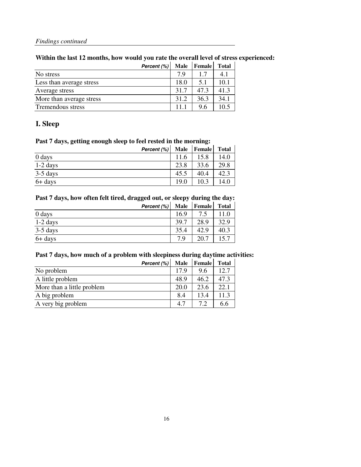# **Within the last 12 months, how would you rate the overall level of stress experienced:**

|                          | Percent (%) | <b>Male</b> | <b>Female</b> | <b>Total</b> |
|--------------------------|-------------|-------------|---------------|--------------|
| No stress                |             | 7 Q         | 17            | 4.1          |
| Less than average stress |             | 18.0        | 5.1           | 10.1         |
| Average stress           |             | 31.7        | 47.3          | 41.3         |
| More than average stress |             | 31.2        | 36.3          | 34.1         |
| Tremendous stress        |             | 11 1        | 9.6           | 10.5         |

# **I. Sleep**

# **Past 7 days, getting enough sleep to feel rested in the morning:**

| Percent (%) |      | Male Female | <b>Total</b> |
|-------------|------|-------------|--------------|
| $0$ days    | 11.6 | 15.8        | 14.0         |
| $1-2$ days  | 23.8 | 33.6        | 29.8         |
| $3-5$ days  | 45.5 | 40.4        | 42.3         |
| $6+$ days   | 19.0 | 10.3        | 14.0         |

# **Past 7 days, how often felt tired, dragged out, or sleepy during the day:**

|            | Percent (%) |      | Male Female | <b>Total</b> |
|------------|-------------|------|-------------|--------------|
| 0 days     |             | 16.9 |             | 11.0         |
| $1-2$ days |             | 39.7 | 28.9        | 32.9         |
| $3-5$ days |             | 35.4 | 42.9        | 40.3         |
| 6+ days    |             | 7 Q  | 20.7        |              |

# **Past 7 days, how much of a problem with sleepiness during daytime activities:**

|                            | Percent (%) | <b>Male</b> | <b>Female</b> | <b>Total</b> |
|----------------------------|-------------|-------------|---------------|--------------|
| No problem                 |             | 17.9        | 9.6           | 12.7         |
| A little problem           |             | 48.9        | 46.2          | 47.3         |
| More than a little problem |             | 20.0        | 23.6          | 22.1         |
| A big problem              |             | 8.4         | 13.4          | 11.3         |
| A very big problem         |             | 4.7         | 7.2           | 6.6          |